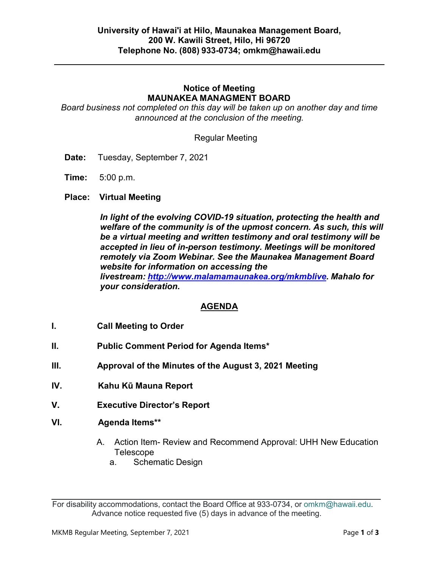# **Notice of Meeting MAUNAKEA MANAGMENT BOARD**

*Board business not completed on this day will be taken up on another day and time announced at the conclusion of the meeting.*

Regular Meeting

- **Date:** Tuesday, September 7, 2021
- **Time:** 5:00 p.m.
- **Place: Virtual Meeting**

*In light of the evolving COVID-19 situation, protecting the health and welfare of the community is of the upmost concern. As such, this will be a virtual meeting and written testimony and oral testimony will be accepted in lieu of in-person testimony. Meetings will be monitored remotely via Zoom Webinar. See the Maunakea Management Board website for information on accessing the livestream: [http://www.malamamaunakea.org/mkmblive.](http://www.malamamaunakea.org/mkmblive) Mahalo for your consideration.*

# **AGENDA**

- **I. Call Meeting to Order**
- **II. Public Comment Period for Agenda Items\***
- **III. Approval of the Minutes of the August 3, 2021 Meeting**
- **IV. Kahu Kū Mauna Report**
- **V. Executive Director's Report**
- **VI. Agenda Items\*\***
	- A. Action Item- Review and Recommend Approval: UHH New Education Telescope
		- a. Schematic Design

For disability accommodations, contact the Board Office at 933-0734, or [omkm@hawaii.edu.](mailto:OMKM@hawaii.edu) Advance notice requested five (5) days in advance of the meeting.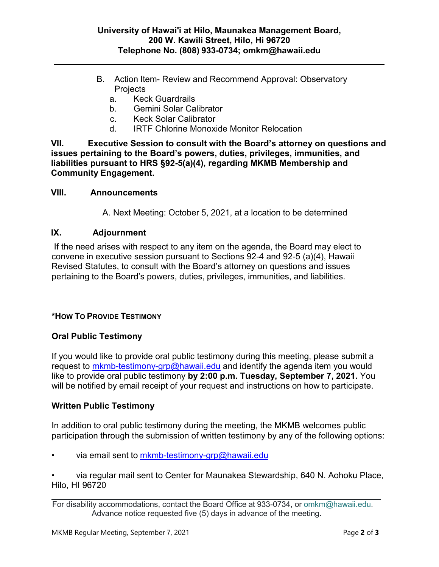- B. Action Item- Review and Recommend Approval: Observatory **Projects** 
	- a. Keck Guardrails
	- b. Gemini Solar Calibrator
	- c. Keck Solar Calibrator
	- d. IRTF Chlorine Monoxide Monitor Relocation

**VII. Executive Session to consult with the Board's attorney on questions and issues pertaining to the Board's powers, duties, privileges, immunities, and liabilities pursuant to HRS §92-5(a)(4), regarding MKMB Membership and Community Engagement.**

#### **VIII. Announcements**

A. Next Meeting: October 5, 2021, at a location to be determined

## **IX. Adjournment**

If the need arises with respect to any item on the agenda, the Board may elect to convene in executive session pursuant to Sections 92-4 and 92-5 (a)(4), Hawaii Revised Statutes, to consult with the Board's attorney on questions and issues pertaining to the Board's powers, duties, privileges, immunities, and liabilities.

# **\*HOW TO PROVIDE TESTIMONY**

# **Oral Public Testimony**

If you would like to provide oral public testimony during this meeting, please submit a request to [mkmb-testimony-grp@hawaii.edu](mailto:mkmb-testimony-grp@hawaii.edu) and identify the agenda item you would like to provide oral public testimony **by 2:00 p.m. Tuesday, September 7, 2021.** You will be notified by email receipt of your request and instructions on how to participate.

# **Written Public Testimony**

In addition to oral public testimony during the meeting, the MKMB welcomes public participation through the submission of written testimony by any of the following options:

via email sent to  $m$ kmb-testimony-grp@hawaii.edu

• via regular mail sent to Center for Maunakea Stewardship, 640 N. Aohoku Place, Hilo, HI 96720

For disability accommodations, contact the Board Office at 933-0734, or [omkm@hawaii.edu.](mailto:OMKM@hawaii.edu) Advance notice requested five (5) days in advance of the meeting.